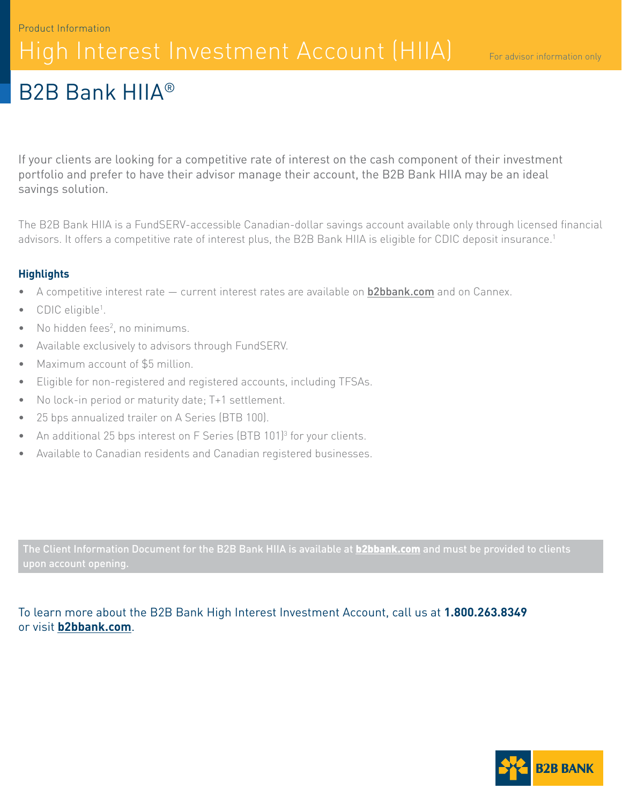### Product Information High Interest Investment Account (HIIA)

## B2B Bank HIIA®

If your clients are looking for a competitive rate of interest on the cash component of their investment portfolio and prefer to have their advisor manage their account, the B2B Bank HIIA may be an ideal savings solution.

The B2B Bank HIIA is a FundSERV-accessible Canadian-dollar savings account available only through licensed financial advisors. It offers a competitive rate of interest plus, the B2B Bank HIIA is eligible for CDIC deposit insurance.1

### **Highlights**

- A competitive interest rate current interest rates are available on **[b2bbank.com](http://b2bbank.com)** and on Cannex.
- CDIC eligible<sup>1</sup>.
- $\bullet$  No hidden fees<sup>2</sup>, no minimums.
- Available exclusively to advisors through FundSERV.
- Maximum account of \$5 million.
- Eligible for non-registered and registered accounts, including TFSAs.
- No lock-in period or maturity date; T+1 settlement.
- 25 bps annualized trailer on A Series (BTB 100).
- An additional 25 bps interest on F Series (BTB 101)<sup>3</sup> for your clients.
- Available to Canadian residents and Canadian registered businesses.

The Client Information Document for the B2B Bank HIIA is available at **[b2bbank.com](http://b2bbank.com)** and must be provided to clients

### To learn more about the B2B Bank High Interest Investment Account, call us at **1.800.263.8349** or visit **[b2bbank.com](http://b2bbank.com)**.